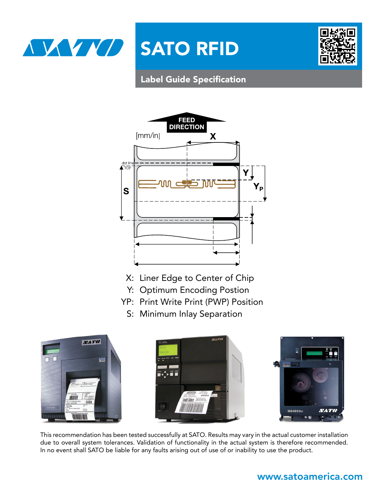



# Label Guide Specification



- X: Liner Edge to Center of Chip
- Y: Optimum Encoding Postion
- YP: Print Write Print (PWP) Position
	- S: Minimum Inlay Separation







This recommendation has been tested successfully at SATO. Results may vary in the actual customer installation due to overall system tolerances. Validation of functionality in the actual system is therefore recommended. In no event shall SATO be liable for any faults arising out of use of or inability to use the product.

## <www.satoamerica.com>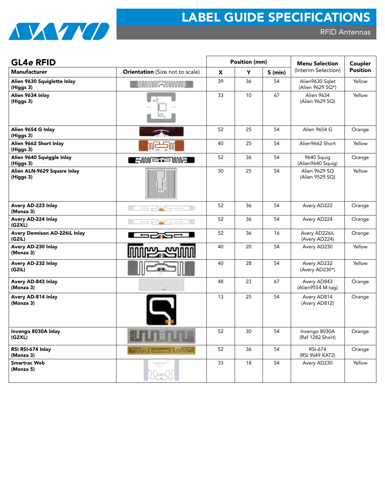

| <b>GL4e RFID</b>                         |                                        |    | Position (mm) |           | <b>Menu Selection</b>               | Coupler         |
|------------------------------------------|----------------------------------------|----|---------------|-----------|-------------------------------------|-----------------|
| <b>Manufacturer</b>                      | <b>Orientation</b> (Size not to scale) | x  | Y             | $S$ (min) | (Interim Selection)                 | <b>Position</b> |
| Alien 9630 Squiglette Inlay<br>(Higgs 3) | <b>MMMFFFRDUMME</b>                    | 39 | 36            | 54        | Alien9630 Sqlet<br>(Alien 9629 SQ*) | Yellow          |
| Alien 9634 Inlay<br>(Higgs 3)            |                                        | 33 | 10            | 67        | Alien 9634<br>(Alien 9629 SQ)       | Yellow          |
| Alien 9654 G Inlay<br>(Higgs 3)          |                                        | 52 | 25            | 54        | Alien 9654 G                        | Orange          |
| Alien 9662 Short Inlay<br>(Higgs 3)      |                                        | 40 | 25            | 54        | Alien9662 Short                     | Yellow          |
| Alien 9640 Squiggle Inlay<br>(Higgs 3)   | ENNIE I ENNE                           | 52 | 36            | 54        | 9640 Squig<br>(Alien9640 Squig)     | Orange          |
| Alien ALN-9629 Square Inlay<br>(Higgs 3) |                                        | 30 | 25            | 54        | Alien 9629 SQ<br>(Alien 9529 SQ)    | Yellow          |
| Avery AD-223 Inlay<br>(Monza 3)          |                                        | 52 | 36            | 54        | Avery AD222                         | Orange          |
| Avery AD-224 Inlay<br>(G2XL)             |                                        | 52 | 36            | 54        | Avery AD224                         | Orange          |
| Avery Dennison AD-226iL Inlay<br>(G2iL)  |                                        | 52 | 36            | 16        | Avery AD226iL<br>(Avery AD224)      | Orange          |
| Avery AD-230 Inlay<br>(Monza 3)          |                                        | 40 | 20            | 54        | Avery AD230                         | Yellow          |
| Avery AD-232 Inlay<br>(G2iL)             |                                        | 40 | 28            | 54        | Avery AD232<br>(Avery AD230*)       | Yellow          |
| Avery AD-843 Inlay<br>(Monza 3)          |                                        | 48 | 23            | 67        | Avery AD843<br>(Alien9554 M-tag)    | Orange          |
| Avery AD-814 Inlay<br>(Monza 3)          |                                        | 13 | 25            | 54        | Avery AD814<br>(Avery AD812)        | Orange          |
| Invengo 8030A Inlay<br>(G2XL)            |                                        | 52 | 30            | 54        | Invengo 8030A<br>(Raf 1282 Short)   | Orange          |
| RSI RSI-674 Inlay<br>(Monza 3)           | – Loon                                 | 52 | 36            | 54        | RSI-674<br>(RSI IN49 KAT2)          | Orange          |
| <b>Smartrac Web</b><br>(Monza 5)         | SMARTRAC <sup>((a)</sup> )             | 33 | 18            | 54        | Avery AD230                         | Yellow          |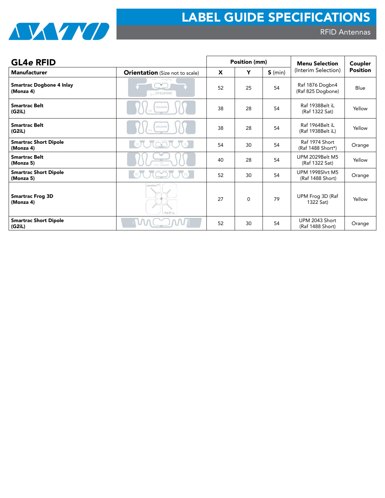

| <b>GL4e RFID</b>                             |                                        |    | Position (mm) |           | <b>Menu Selection</b>                      | Coupler         |  |
|----------------------------------------------|----------------------------------------|----|---------------|-----------|--------------------------------------------|-----------------|--|
| <b>Manufacturer</b>                          | <b>Orientation</b> (Size not to scale) | X  | Y             | $S$ (min) | (Interim Selection)                        | <b>Position</b> |  |
| <b>Smartrac Dogbone 4 Inlay</b><br>(Monza 4) | <b>SMARTRAC<sup>(*)</sup></b>          | 52 | 25            | 54        | Raf 1876 Dogbn4<br>(Raf 825 Dogbone)       | Blue            |  |
| <b>Smartrac Belt</b><br>(G2iL)               | DVALIDYWE                              | 38 | 28            | 54        | Raf 1938Belt iL<br>(Raf 1322 Sat)          | Yellow          |  |
| <b>Smartrac Belt</b><br>(G2iL)               | DVALIDYWE                              | 38 | 28            | 54        | Raf 1964Belt iL<br>(Raf 1938Belt iL)       | Yellow          |  |
| <b>Smartrac Short Dipole</b><br>(Monza 4)    |                                        | 54 | 30            | 54        | Raf 1974 Short<br>(Raf 1488 Short*)        | Orange          |  |
| <b>Smartrac Belt</b><br>(Monza 5)            |                                        | 40 | 28            | 54        | <b>UPM 2029Belt M5</b><br>(Raf 1322 Sat)   | Yellow          |  |
| <b>Smartrac Short Dipole</b><br>(Monza 5)    |                                        | 52 | 30            | 54        | <b>UPM 1998Shrt M5</b><br>(Raf 1488 Short) | Orange          |  |
| <b>Smartrac Frog 3D</b><br>(Monza 4)         | SMARTBAC <sup>04</sup><br>Frog 3D mu   | 27 | $\Omega$      | 79        | UPM Frog 3D (Raf<br>1322 Sat)              | Yellow          |  |
| <b>Smartrac Short Dipole</b><br>(G2iL)       | VM                                     | 52 | 30            | 54        | UPM 2043 Short<br>(Raf 1488 Short)         | Orange          |  |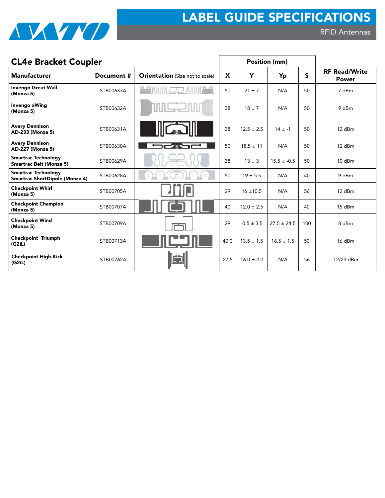

RFID Antennas

| <b>CL4e Bracket Coupler</b>                                  |            |                                        |      | Position (mm)  |                 |              |                                      |
|--------------------------------------------------------------|------------|----------------------------------------|------|----------------|-----------------|--------------|--------------------------------------|
| <b>Manufacturer</b>                                          | Document # | <b>Orientation</b> (Size not to scale) | X    | Y              | Yp              | $\mathsf{s}$ | <b>RF Read/Write</b><br><b>Power</b> |
| <b>Invengo Great Wall</b><br>(Monza 5)                       | STB00633A  |                                        | 50   | $21 \pm 7$     | N/A             | 50           | 7 dBm                                |
| <b>Invengo xWing</b><br>(Monza 5)                            | STB00632A  |                                        | 38   | $18 \pm 7$     | N/A             | 50           | 9 dBm                                |
| <b>Avery Dennison</b><br>AD-233 (Monza 5)                    | STB00631A  |                                        | 38   | $12.5 \pm 2.5$ | $14 \pm -1$     | 50           | $12$ dBm                             |
| <b>Avery Dennison</b><br>AD-227 (Monza 5)                    | STB00630A  |                                        | 50   | $18.5 \pm 11$  | N/A             | 50           | 12 dBm                               |
| <b>Smartrac Technology</b><br><b>Smartrac Belt (Monza 5)</b> | STB00629A  |                                        | 38   | $13 \pm 3$     | $15.5 \pm -0.5$ | 50           | $10$ dBm                             |
| <b>Smartrac Technology</b><br>Smartrac ShortDipole (Monza 4) | STB00628A  |                                        | 50   | $19 \pm 5.5$   | N/A             | 40           | 9 dBm                                |
| <b>Checkpoint Whirl</b><br>(Monza 5)                         | STB00705A  |                                        | 29   | $16 \pm 10.5$  | N/A             | 56           | $12$ dBm                             |
| <b>Checkpoint Champion</b><br>(Monza 5)                      | STB00707A  |                                        | 40   | $12.0 \pm 2.5$ | N/A             | 40           | $15$ dBm                             |
| <b>Checkpoint Wind</b><br>(Monza 5)                          | STB00709A  |                                        | 29   | $-0.5 \pm 3.5$ | $27.5 \pm 24.5$ | 100          | 8 dBm                                |
| <b>Checkpoint Triumph</b><br>(G2iL)                          | STB00713A  |                                        | 40.0 | $13.5 \pm 1.5$ | $16.5 \pm 1.5$  | 50           | $16$ dBm                             |
| <b>Checkpoint High-Kick</b><br>(G2iL)                        | STB00762A  |                                        | 27.5 | $16.0 \pm 2.0$ | N/A             | 56           | 12/23 dBm                            |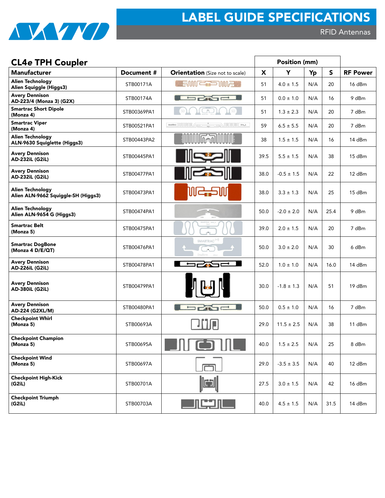

# CL4e TPH Coupler **Position** (mm)

| PFIA II II PARICI                                              |             |                                                                                                                  |      |                |     |      |                 |
|----------------------------------------------------------------|-------------|------------------------------------------------------------------------------------------------------------------|------|----------------|-----|------|-----------------|
| <b>Manufacturer</b>                                            | Document #  | <b>Orientation</b> (Size not to scale)                                                                           | X    | Y              | Yp  | S.   | <b>RF Power</b> |
| <b>Alien Technology</b><br>Alien Squiggle (Higgs3)             | STB00171A   | <b>A SUM CODOME 1</b>                                                                                            | 51   | $4.0 \pm 1.5$  | N/A | 20   | 16 dBm          |
| <b>Avery Dennison</b><br>AD-223/4 (Monza 3) (G2X)              | STB00174A   | <b>SPASE I</b>                                                                                                   | 51   | $0.0 \pm 1.0$  | N/A | 16   | 9 dBm           |
| <b>Smartrac Short Dipole</b><br>(Monza 4)                      | STB00369PA1 | SD)<br>JL.                                                                                                       | 51   | $1.3 \pm 2.3$  | N/A | 20   | 7 dBm           |
| <b>Smartrac Viper</b><br>(Monza 4)                             | STB00521PA1 | SHARRACH IN THE TABLE TO THE TABLE THE TABLE TO THE TABLE THE TABLE TO THE TABLE TO THE TABLE TO THE TABLE TABLE | 59   | $6.5 \pm 5.5$  | N/A | 20   | 7 dBm           |
| <b>Alien Technology</b><br>ALN-9630 Squiglette (Higgs3)        | STB00443PA2 | <b>MMMF+70MMMF</b>                                                                                               | 38   | $1.5 \pm 1.5$  | N/A | 16   | 14 dBm          |
| <b>Avery Dennison</b><br>AD-232iL (G2iL)                       | STB00445PA1 |                                                                                                                  | 39.5 | $5.5 \pm 1.5$  | N/A | 38   | 15 dBm          |
| <b>Avery Dennison</b><br>AD-232iL (G2iL)                       | STB00477PA1 |                                                                                                                  | 38.0 | $-0.5 \pm 1.5$ | N/A | 22   | 12 dBm          |
| <b>Alien Technology</b><br>Alien ALN-9662 Squiggle-SH (Higgs3) | STB00473PA1 | WC                                                                                                               | 38.0 | $3.3 \pm 1.3$  | N/A | 25   | 15 dBm          |
| <b>Alien Technology</b><br>Alien ALN-9654 G (Higgs3)           | STB00474PA1 |                                                                                                                  | 50.0 | $-2.0 \pm 2.0$ | N/A | 25.4 | 9 dBm           |
| <b>Smartrac Belt</b><br>(Monza 5)                              | STB00475PA1 |                                                                                                                  | 39.0 | $2.0 \pm 1.5$  | N/A | 20   | 7 dBm           |
| <b>Smartrac DogBone</b><br>(Monza 4 D/E/QT)                    | STB00476PA1 | SMARTRAC <sup>(*)</sup>                                                                                          | 50.0 | $3.0 \pm 2.0$  | N/A | 30   | 6 dBm           |
| <b>Avery Dennison</b><br><b>AD-226iL (G2iL)</b>                | STB00478PA1 | 52N                                                                                                              | 52.0 | $1.0 \pm 1.0$  | N/A | 16.0 | 14 dBm          |
| <b>Avery Dennison</b><br>AD-380iL (G2iL)                       | STB00479PA1 |                                                                                                                  | 30.0 | $-1.8 \pm 1.3$ | N/A | 51   | 19 dBm          |
| <b>Avery Dennison</b><br>AD-224 (G2XL/M)                       | STB00480PA1 | <b>CAST</b>                                                                                                      | 50.0 | $0.5 \pm 1.0$  | N/A | 16   | 7 dBm           |
| <b>Checkpoint Whirl</b><br>(Monza 5)                           | STB00693A   | 加山                                                                                                               | 29.0 | $11.5 \pm 2.5$ | N/A | 38   | 11 dBm          |
| <b>Checkpoint Champion</b><br>(Monza 5)                        | STB00695A   | <b>SULTER STAR STAR</b>                                                                                          | 40.0 | $1.5 \pm 2.5$  | N/A | 25   | 8 dBm           |
| <b>Checkpoint Wind</b><br>(Monza 5)                            | STB00697A   |                                                                                                                  | 29.0 | $-3.5 \pm 3.5$ | N/A | 40   | 12 dBm          |
| <b>Checkpoint High-Kick</b><br>(G2iL)                          | STB00701A   | lc)                                                                                                              | 27.5 | $3.0 \pm 1.5$  | N/A | 42   | 16 dBm          |
| <b>Checkpoint Triumph</b><br>(G2iL)                            | STB00703A   | <u>ار لبنهار کا</u>                                                                                              | 40.0 | $4.5 \pm 1.5$  | N/A | 31.5 | 14 dBm          |
|                                                                |             |                                                                                                                  |      |                |     |      |                 |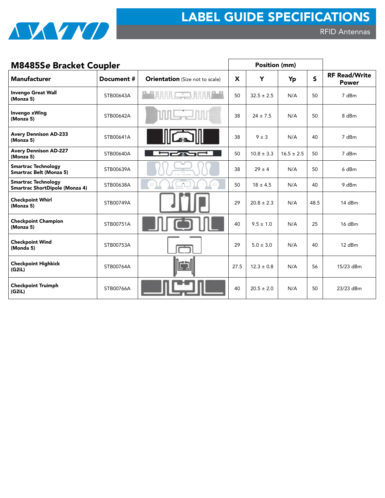

RFID Antennas

| <b>M8485Se Bracket Coupler</b>                               |            |                                        |                           | Position (mm)  |                |              |                                      |
|--------------------------------------------------------------|------------|----------------------------------------|---------------------------|----------------|----------------|--------------|--------------------------------------|
| <b>Manufacturer</b>                                          | Document # | <b>Orientation</b> (Size not to scale) | $\boldsymbol{\mathsf{X}}$ | Y              | Yp             | $\mathsf{s}$ | <b>RF Read/Write</b><br><b>Power</b> |
| <b>Invengo Great Wall</b><br>(Monza 5)                       | STB00643A  | <b>HARA</b>                            | 50                        | $32.5 \pm 2.5$ | N/A            | 50           | 7 dBm                                |
| <b>Invengo xWing</b><br>(Monza 5)                            | STB00642A  |                                        | 38                        | $24 \pm 7.5$   | N/A            | 50           | 8 dBm                                |
| <b>Avery Dennison AD-233</b><br>(Monza 5)                    | STB00641A  |                                        | 38                        | $9 \pm 3$      | N/A            | 40           | 7 dBm                                |
| <b>Avery Dennison AD-227</b><br>(Monza 5)                    | STB00640A  |                                        | 50                        | $10.8 \pm 3.3$ | $16.5 \pm 2.5$ | 50           | 7 dBm                                |
| <b>Smartrac Technology</b><br><b>Smartrac Belt (Monza 5)</b> | STB00639A  |                                        | 38                        | $29 \pm 4$     | N/A            | 50           | 6 dBm                                |
| <b>Smartrac Technology</b><br>Smartrac ShortDipole (Monza 4) | STB00638A  | SD                                     | 50                        | $18 \pm 4.5$   | N/A            | 40           | 9 dBm                                |
| <b>Checkpoint Whirl</b><br>(Monza 5)                         | STB00749A  |                                        | 29                        | $20.8 \pm 2.3$ | N/A            | 48.5         | $14$ dBm                             |
| <b>Checkpoint Champion</b><br>(Monza 5)                      | STB00751A  |                                        | 40                        | $9.5 \pm 1.0$  | N/A            | 25           | $16$ dBm                             |
| <b>Checkpoint Wind</b><br>(Monda 5)                          | STB00753A  |                                        | 29                        | $5.0 \pm 3.0$  | N/A            | 40           | $12$ dBm                             |
| <b>Checkpoint Highkick</b><br>(G2iL)                         | STB00764A  |                                        | 27.5                      | $12.3 \pm 0.8$ | N/A            | 56           | 15/23 dBm                            |
| <b>Checkpoint Truimph</b><br>(G2iL)                          | STB00766A  |                                        | 40                        | $20.5 \pm 2.0$ | N/A            | 50           | 23/23 dBm                            |